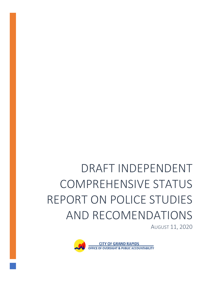# DRAFT INDEPENDENT COMPREHENSIVE STATUS REPORT ON POLICE STUDIES AND RECOMENDATIONS

AUGUST 11, 2020

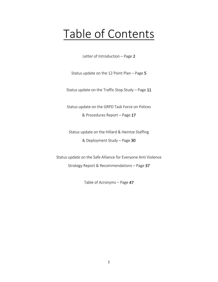## Table of Contents

Letter of Introduction – Page 2

Status update on the 12 Point Plan – Page 5

Status update on the Traffic Stop Study – Page 11

Status update on the GRPD Task Force on Polices & Procedures Report – Page 17

Status update on the Hillard & Heintze Staffing & Deployment Study – Page 30

Status update on the Safe Alliance for Everyone Anti Violence Strategy Report & Recommendations – Page 37

Table of Acronyms – Page 47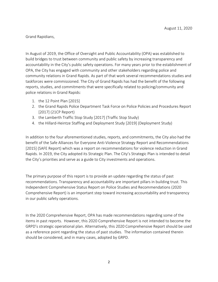Grand Rapidians,

In August of 2019, the Office of Oversight and Public Accountability (OPA) was established to build bridges to trust between community and public safety by increasing transparency and accountability in the City's public safety operations. For many years prior to the establishment of OPA, the City has engaged with community and other stakeholders regarding police and community relations in Grand Rapids. As part of that work several recommendations studies and taskforces were commissioned. The City of Grand Rapids has had the benefit of the following reports, studies, and commitments that were specifically related to policing/community and police relations in Grand Rapids:

- 1. the 12 Point Plan [2015]
- 2. the Grand Rapids Police Department Task Force on Police Policies and Procedures Report [2017] (21CP Report)
- 3. the Lamberth Traffic Stop Study [2017] (Traffic Stop Study)
- 4. the Hillard-Heintze Staffing and Deployment Study [2019] (Deployment Study)

In addition to the four aforementioned studies, reports, and commitments, the City also had the benefit of the Safe Alliances for Everyone Anti-Violence Strategy Report and Recommendations [2015] (SAFE Report) which was a report on recommendations for violence reduction in Grand Rapids. In 2019, the City adopted its Strategic Plan. The City's Strategic Plan is intended to detail the City's priorities and serve as a guide to City investments and operations.

The primary purpose of this report is to provide an update regarding the status of past recommendations. Transparency and accountability are important pillars in building trust. This Independent Comprehensive Status Report on Police Studies and Recommendations (2020 Comprehensive Report) is an important step toward increasing accountability and transparency in our public safety operations.

In the 2020 Comprehensive Report, OPA has made recommendations regarding some of the items in past reports. However, this 2020 Comprehensive Report is not intended to become the GRPD's strategic operational plan. Alternatively, this 2020 Comprehensive Report should be used as a reference point regarding the status of past studies. The information contained therein should be considered, and in many cases, adopted by GRPD.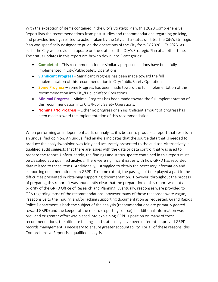With the exception of items contained in the City's Strategic Plan, this 2020 Comprehensive Report lists the recommendations from past studies and recommendations regarding policing, and provides findings related to action taken by the City and a status update. The City's Strategic Plan was specifically designed to guide the operations of the City from FY 2020 – FY 2023. As such, the City will provide an update on the status of the City's Strategic Plan at another time. The status updates in this report are broken down into 5 categories:

- **Completed** This recommendation or similarly purposed actions have been fully implemented in City/Public Safety Operations.
- **Significant Progress** Significant Progress has been made toward the full implementation of this recommendation in City/Public Safety Operations.
- **Some Progress** Some Progress has been made toward the full implementation of this recommendation into City/Public Safety Operations.
- **Minimal Progress** Minimal Progress has been made toward the full implementation of this recommendation into City/Public Safety Operations.
- **Nominal/No Progress** Either no progress or an insignificant amount of progress has been made toward the implementation of this recommendation.

When performing an independent audit or analysis, it is better to produce a report that results in an unqualified opinion. An unqualified analysis indicates that the source data that is needed to produce the analysis/opinion was fairly and accurately presented to the auditor. Alternatively, a qualified audit suggests that there are issues with the data or data control that was used to prepare the report. Unfortunately, the findings and status update contained in this report must be classified as a qualified analysis. There were significant issues with how GRPD has recorded data related to these items. Additionally, I struggled to obtain the necessary information and supporting documentation from GRPD. To some extent, the passage of time played a part in the difficulties presented in obtaining supporting documentation. However, throughout the process of preparing this report, it was abundantly clear that the preparation of this report was not a priority of the GRPD Office of Research and Planning. Eventually, responses were provided to OPA regarding most of the recommendations, however many of those responses were vague, irresponsive to the inquiry, and/or lacking supporting documentation as requested. Grand Rapids Police Department is both the subject of the analysis (recommendations are primarily geared toward GRPD) and the keeper of the record (reporting source). If additional information was provided or greater effort was placed into explaining GRPD's position on many of these recommendations, the ultimate findings and status may have been different. Improved GRPD records management is necessary to ensure greater accountability. For all of these reasons, this Comprehensive Report is a qualified analysis.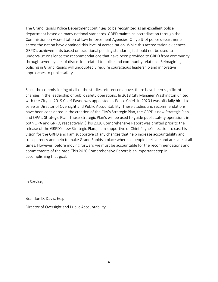The Grand Rapids Police Department continues to be recognized as an excellent police department based on many national standards. GRPD maintains accreditation through the Commission on Accreditation of Law Enforcement Agencies. Only 5% of police departments across the nation have obtained this level of accreditation. While this accreditation evidences GRPD's achievements based on traditional policing standards, it should not be used to undervalue or silence the recommendations that have been provided to GRPD from community through several years of discussion related to police and community relations. Reimagining policing in Grand Rapids will undoubtedly require courageous leadership and innovative approaches to public safety.

Since the commissioning of all of the studies referenced above, there have been significant changes in the leadership of public safety operations. In 2018 City Manager Washington united with the City. In 2019 Chief Payne was appointed as Police Chief. In 2020 I was officially hired to serve as Director of Oversight and Public Accountability. These studies and recommendations have been considered in the creation of the City's Strategic Plan, the GRPD's new Strategic Plan and OPA's Strategic Plan. Those Strategic Plan's will be used to guide public safety operations in both OPA and GRPD, respectively. (This 2020 Comprehensive Report was drafted prior to the release of the GRPD's new Strategic Plan.) I am supportive of Chief Payne's decision to cast his vision for the GRPD and I am supportive of any changes that help increase accountability and transparency and help to make Grand Rapids a place where all people feel safe and are safe at all times. However, before moving forward we must be accountable for the recommendations and commitments of the past. This 2020 Comprehensive Report is an important step in accomplishing that goal.

In Service,

Brandon D. Davis, Esq.

Director of Oversight and Public Accountability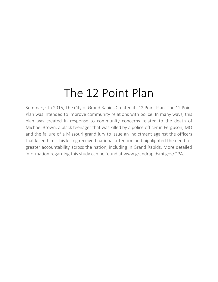Summary: In 2015, The City of Grand Rapids Created its 12 Point Plan. The 12 Point Plan was intended to improve community relations with police. In many ways, this plan was created in response to community concerns related to the death of Michael Brown, a black teenager that was killed by a police officer in Ferguson, MO and the failure of a Missouri grand jury to issue an indictment against the officers that killed him. This killing received national attention and highlighted the need for greater accountability across the nation, including in Grand Rapids. More detailed information regarding this study can be found at www.grandrapidsmi.gov/OPA.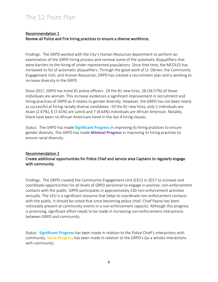#### Recommendation 1 Review all Police and Fire hiring practices to ensure a diverse workforce.

Findings: The GRPD worked with the City's Human Resources department to perform an examination of the GRPD hiring process and remove some of the automatic disqualifiers that were barriers to the hiring of under-represented populations. Since that time, the MCOLES has increased its list of automatic disqualifiers. Through the good work of Lt. Obrien, the Community Engagement Unit, and Human Resources, GRPD has created a recruitment plan and is working to increase diversity in the GRPD.

Since 2017, GRPD has hired 81 police officers. Of the 81 new hires, 28 (34.57%) of those individuals are women. This increase evidences a significant improvement in recruitment and hiring practices of GRPD as it relates to gender diversity. However, the GRPD has not been nearly as successful at hiring racially diverse candidates. Of the 81 new hires, only 2 individuals are Asian (2.47%), 6 (7.41%) are LatinX and 7 (8.64%) individuals are African American. Notably, there have been no African Americans hired in the last 4 hiring classes.

Status: The GRPD has made **Significant Progress** in improving its hiring practices to ensure gender diversity. The GRPD has made **Minimal Progress** in improving its hiring practices to ensure racial diversity.

#### Recommendation 2 Create additional opportunities for Police Chief and service area Captains to regularly engage with community.

Findings: The GRPD created the Community Engagement Unit (CEU) in 2017 to increase and coordinate opportunities for all levels of GRPD personnel to engage in positive, non-enforcement contacts with the public. GRPD participates in approximately 230 non-enforcement activities annually. The CEU is a significant resource that helps to coordinate non-enforcement contacts with the public. It should be noted that since becoming police chief, Chief Payne has been noticeably present at community events in a non-enforcement capacity. Although this progress is promising, significant effort needs to be made in increasing non-enforcement interactions between GRPD and community.

Status: **Significant Progress** has been made in relation to the Police Chief's interactions with community. **Some Progress** has been made in relation to the GRPD's (as a whole) interactions with community.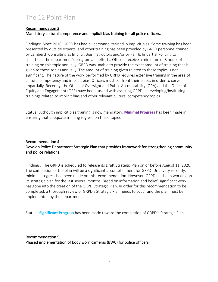#### Recommendation 3 Mandatory cultural competence and implicit bias training for all police officers.

Findings: Since 2016, GRPD has had all personnel trained in implicit bias. Some training has been presented by outside experts, and other training has been provided by GRPD personnel trained by Lamberth Consulting as Implicit Bias instructors and/or by Fair & Impartial Policing to spearhead the department's program and efforts. Officers receive a minimum of 3 hours of training on this topic annually. GRPD was unable to provide the exact amount of training that is given to these topics annually. The amount of training given related to these topics is not significant. The nature of the work performed by GRPD requires extensive training in the area of cultural competency and implicit bias. Officers must confront their biases in order to serve impartially. Recently, the Office of Oversight and Public Accountability (OPA) and the Office of Equity and Engagement (OEE) have been tasked with assisting GRPD in developing/instituting trainings related to implicit bias and other relevant cultural competency topics.

Status: Although implicit bias training is now mandatory, **Minimal Progress** has been made in ensuring that adequate training is given on these topics.

#### Recommendation 4 Develop Police Department Strategic Plan that provides framework for strengthening community and police relations.

Findings: The GRPD is scheduled to release its Draft Strategic Plan on or before August 11, 2020. The completion of the plan will be a significant accomplishment for GRPD. Until very recently, minimal progress had been made on this recommendation. However, GRPD has been working on its strategic plan for the last several months. Based on information and belief, significant work has gone into the creation of the GRPD Strategic Plan. In order for this recommendation to be completed, a thorough review of GRPD's Strategic Plan needs to occur and the plan must be implemented by the department.

Status: **Significant Progress** has been made toward the completion of GRPD's Strategic Plan.

### Recommendation 5

Phased implementation of body worn cameras (BWC) for police officers.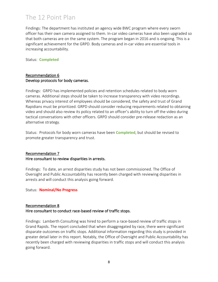Findings: The department has instituted an agency wide BWC program where every sworn officer has their own camera assigned to them. In-car video cameras have also been upgraded so that both cameras are on the same system. The program began in 2016 and is ongoing. This is a significant achievement for the GRPD. Body cameras and in-car video are essential tools in increasing accountability.

#### Status: **Completed**

#### Recommendation 6 Develop protocols for body cameras.

Findings: GRPD has implemented policies and retention schedules related to body worn cameras. Additional steps should be taken to increase transparency with video recordings. Whereas privacy interest of employees should be considered, the safety and trust of Grand Rapidians must be prioritized. GRPD should consider reducing requirements related to obtaining video and should also review its policy related to an officer's ability to turn off the video during tactical conversations with other officers. GRPD should consider pre-release redaction as an alternative strategy.

Status: Protocols for body worn cameras have been **Completed**, but should be revised to promote greater transparency and trust.

#### Recommendation 7 Hire consultant to review disparities in arrests.

Findings: To date, an arrest disparities study has not been commissioned. The Office of Oversight and Public Accountability has recently been charged with reviewing disparities in arrests and will conduct this analysis going forward.

Status: **Nominal/No Progress**

#### Recommendation 8 Hire consultant to conduct race-based review of traffic stops.

Findings: Lamberth Consulting was hired to perform a race-based review of traffic stops in Grand Rapids. The report concluded that when disaggregated by race, there were significant disparate outcomes on traffic stops. Additional information regarding this study is provided in greater detail later in this report. Notably, the Office of Oversight and Public Accountability has recently been charged with reviewing disparities in traffic stops and will conduct this analysis going forward.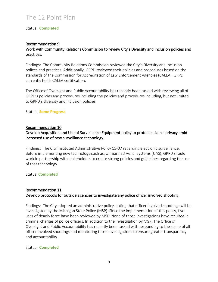#### Status: **Completed**

#### Recommendation 9

#### Work with Community Relations Commission to review City's Diversity and Inclusion policies and practices.

Findings: The Community Relations Commission reviewed the City's Diversity and Inclusion polices and practices. Additionally, GRPD reviewed their policies and procedures based on the standards of the Commission for Accreditation of Law Enforcement Agencies (CALEA). GRPD currently holds CALEA certification.

The Office of Oversight and Public Accountability has recently been tasked with reviewing all of GRPD's policies and procedures including the policies and procedures including, but not limited to GRPD's diversity and inclusion policies.

#### Status: **Some Progress**

#### Recommendation 10

#### Develop Acquisition and Use of Surveillance Equipment policy to protect citizens' privacy amid increased use of new surveillance technology.

Findings: The City instituted Administrative Policy 15-07 regarding electronic surveillance. Before implementing new technology such as, Unmanned Aerial Systems (UAS), GRPD should work in partnership with stakeholders to create strong policies and guidelines regarding the use of that technology.

#### Status: **Completed**

#### Recommendation 11 Develop protocols for outside agencies to investigate any police officer involved shooting.

Findings: The City adopted an administrative policy stating that officer involved shootings will be investigated by the Michigan State Police (MSP). Since the implementation of this policy, five uses of deadly force have been reviewed by MSP. None of those investigations have resulted in criminal charges of police officers. In addition to the investigation by MSP, The Office of Oversight and Public Accountability has recently been tasked with responding to the scene of all officer involved shootings and monitoring those investigations to ensure greater transparency and accountability.

#### Status: **Completed**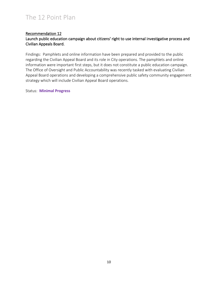#### Recommendation 12

#### Launch public education campaign about citizens' right to use internal investigative process and Civilian Appeals Board.

Findings: Pamphlets and online information have been prepared and provided to the public regarding the Civilian Appeal Board and its role in City operations. The pamphlets and online information were important first steps, but it does not constitute a public education campaign. The Office of Oversight and Public Accountability was recently tasked with evaluating Civilian Appeal Board operations and developing a comprehensive public safety community engagement strategy which will include Civilian Appeal Board operations.

Status: **Minimal Progress**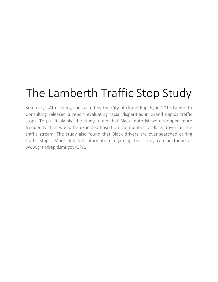## The Lamberth Traffic Stop Study

Summary: After being contracted by the City of Grand Rapids, in 2017 Lamberth Consulting released a report evaluating racial disparities in Grand Rapids traffic stops. To put it plainly, the study found that Black motorist were stopped more frequently than would be expected based on the number of Black drivers in the traffic stream. The study also found that Black drivers are over-searched during traffic stops. More detailed information regarding this study can be found at www.grandrapidsmi.gov/OPA.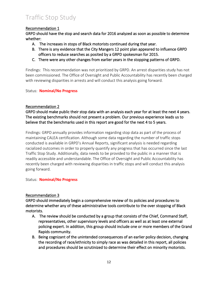#### Recommendation 1

GRPD should have the stop and search data for 2016 analyzed as soon as possible to determine whether:

- A. The increases in stops of Black motorists continued during that year.
- B. There is any evidence that the City Mangers 12 point plan appeared to influence GRPD officers to reduce searches as posited by a GRPD spokesman for 2015.
- C. There were any other changes from earlier years in the stopping patterns of GRPD.

Findings: This recommendation was not prioritized by GRPD. An arrest disparities study has not been commissioned. The Office of Oversight and Public Accountability has recently been charged with reviewing disparities in arrests and will conduct this analysis going forward.

#### Status: **Nominal/No Progress**

#### Recommendation 2

GRPD should make public their stop data with an analysis each year for at least the next 4 years. The existing benchmarks should not present a problem. Our previous experience leads us to believe that the benchmarks used in this report are good for the next 4 to 5 years.

Findings: GRPD annually provides information regarding stop data as part of the process of maintaining CALEA certification. Although some data regarding the number of traffic stops conducted is available in GRPD's Annual Reports, significant analysis is needed regarding racialized outcomes in order to properly quantify any progress that has occurred since the last Traffic Stop Study. Additionally, data needs to be provided to the public in a manner that is readily accessible and understandable. The Office of Oversight and Public Accountability has recently been charged with reviewing disparities in traffic stops and will conduct this analysis going forward.

#### Status: **Nominal/No Progress**

#### Recommendation 3

GRPD should immediately begin a comprehensive review of its policies and procedures to determine whether any of these administrative tools contribute to the over stopping of Black motorists.

- A. The review should be conducted by a group that consists of the Chief, Command Staff, representatives, other supervisory levels and officers as well as at least one external policing expert. In addition, this group should include one or more members of the Grand Rapids community.
- B. Being cognizant of the unintended consequences of an earlier policy decision, changing the recording of race/ethnicity to simply race as was detailed in this report, all policies and procedures should be scrutinized to determine their effect on minority motorists.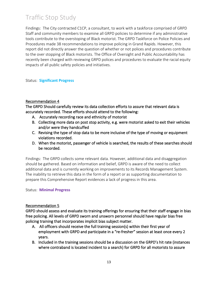Findings: The City contracted C1CP, a consultant, to work with a taskforce comprised of GRPD Staff and community members to examine all GRPD policies to determine if any administrative tools contribute to the overstoping of Black motorist. The GRPD Taskforce on Police Policies and Procedures made 38 recommendations to improve policing in Grand Rapids. However, this report did not directly answer the question of whether or not polices and procedures contribute to the over stopping of Black motorists. The Office of Oversight and Public Accountability has recently been charged with reviewing GRPD polices and procedures to evaluate the racial equity impacts of all public safety policies and initiatives.

#### Status: **Significant Progress**

#### Recommendation 4

The GRPD Should carefully review its data collection efforts to assure that relevant data is accurately recorded. These efforts should attend to the following:

- A. Accurately recording race and ethnicity of motorist
- B. Collecting more data on post stop activity, e.g. were motorist asked to exit their vehicles and/or were they handcuffed
- C. Revising the type of stop data to be more inclusive of the type of moving or equipment violations recorded.
- D. When the motorist, passenger of vehicle is searched, the results of these searches should be recorded.

Findings: The GRPD collects some relevant data. However, additional data and disaggregation should be gathered. Based on information and belief, GRPD is aware of the need to collect additional data and is currently working on improvements to its Records Management System. The inability to retrieve this data in the form of a report or as supporting documentation to prepare this Comprehensive Report evidences a lack of progress in this area.

#### Status: **Minimal Progress**

#### Recommendation 5

GRPD should assess and evaluate its training offerings for ensuring that their staff engage in bias free policing. All levels of GRPD sworn and unsworn personnel should have regular bias free policing training that incorporates implicit bias subject matter.

- A. All officers should receive the full training session(s) within their first year of employment with GRPD and participate in a "re-fresher" session at least once every 2 years.
- B. Included in the training sessions should be a discussion on the GRPD's hit rate (instances where contraband is located incident to a search) for GRPD for all motorists to assure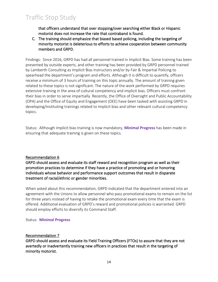that officers understand that over stopping/over searching either Black or Hispanic motorist does not increase the rate that contraband is found.

C. The training should emphasize that biased based policing, including the targeting of minority motorist is deleterious to efforts to achieve cooperation between community members and GRPD.

Findings: Since 2016, GRPD has had all personnel trained in Implicit Bias. Some training has been presented by outside experts, and other training has been provided by GRPD personnel trained by Lamberth Consulting as Implicit Bias instructors and/or by Fair & Impartial Policing to spearhead the department's program and efforts. Although it is difficult to quantify, officers receive a minimum of 3 hours of training on this topic annually. The amount of training given related to these topics is not significant. The nature of the work performed by GRPD requires extensive training in the area of cultural competency and implicit bias. Officers must confront their bias in order to serve impartially. Recently, the Office of Oversight and Public Accountability (OPA) and the Office of Equity and Engagement (OEE) have been tasked with assisting GRPD in developing/instituting trainings related to implicit bias and other relevant cultural competency topics.

Status: Although implicit bias training is now mandatory, **Minimal Progress** has been made in ensuring that adequate training is given on these topics.

#### Recommendation 6

GRPD should assess and evaluate its staff reward and recognition program as well as their promotion practices to determine if they have a practice of promoting and or honoring individuals whose behavior and performance support outcomes that result in disparate treatment of racial/ethnic or gender minorities.

When asked about this recommendation, GRPD indicated that the department entered into an agreement with the Unions to allow personnel who pass promotional exams to remain on the list for three years instead of having to retake the promotional exam every time that the exam is offered. Additional evaluation of GRPD's reward and promotional policies is warranted. GRPD should employ efforts to diversify its Command Staff.

#### Status: **Minimal Progress**

#### Recommendation 7

GRPD should assess and evaluate its Field Training Officers (FTOs) to assure that they are not avertedly or inadvertently training new officers in practices that result in the targeting of minority motorist.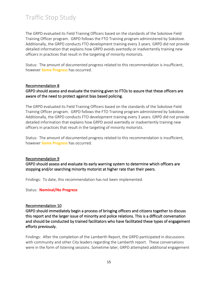The GRPD evaluated its Field Training Officers based on the standards of the Sokolove Field Training Officer program. GRPD follows the FTO Training program administered by Sokolove. Additionally, the GRPD conducts FTO development training every 3 years. GRPD did not provide detailed information that explains how GRPD avoids avertedly or inadvertently training new officers in practices that result in the targeting of minority motorists.

Status: The amount of documented progress related to this recommendation is insufficient, however **Some Progress** has occurred.

#### Recommendation 8

#### GRPD should assess and evaluate the training given to FTOs to assure that these officers are aware of the need to protect against bias based policing.

The GRPD evaluated its Field Training Officers based on the standards of the Sokolove Field Training Officer program. GRPD follows the FTO Training program administered by Sokolove. Additionally, the GRPD conducts FTO development training every 3 years. GRPD did not provide detailed information that explains how GRPD avoid avertedly or inadvertently training new officers in practices that result in the targeting of minority motorists.

Status: The amount of documented progress related to this recommendation is insufficient, however **Some Progress** has occurred.

#### Recommendation 9

GRPD should assess and evaluate its early warning system to determine which officers are stopping and/or searching minority motorist at higher rate than their peers.

Findings: To date, this recommendation has not been implemented.

Status: **Nominal/No Progress**

#### Recommendation 10

GRPD should immediately begin a process of bringing officers and citizens together to discuss this report and the larger issue of minority and police relations. This is a difficult conversation and should be conducted by trained facilitators who have facilitated these types of engagement efforts previously.

Findings: After the completion of the Lamberth Report, the GRPD participated in discussions with community and other City leaders regarding the Lamberth report. These conversations were in the form of listening sessions. Sometime later, GRPD attempted additional engagement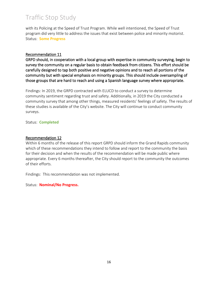with its Policing at the Speed of Trust Program. While well intentioned, the Speed of Trust program did very little to address the issues that exist between police and minority motorist. Status: **Some Progress**

#### Recommendation 11

GRPD should, in cooperation with a local group with expertise in community surveying, begin to survey the community on a regular basis to obtain feedback from citizens. This effort should be carefully designed to tap both positive and negative opinions and to reach all portions of the community but with special emphasis on minority groups. This should include oversampling of those groups that are hard to reach and using a Spanish language survey where appropriate.

Findings: In 2019, the GRPD contracted with ELUCD to conduct a survey to determine community sentiment regarding trust and safety. Additionally, in 2019 the City conducted a community survey that among other things, measured residents' feelings of safety. The results of these studies is available of the City's website. The City will continue to conduct community surveys.

Status: **Completed**

#### Recommendation 12

Within 6 months of the release of this report GRPD should inform the Grand Rapids community which of these recommendations they intend to follow and report to the community the basis for their decision and when the results of the recommendation will be made public where appropriate. Every 6 months thereafter, the City should report to the community the outcomes of their efforts.

Findings: This recommendation was not implemented.

Status: **Nominal/No Progress.**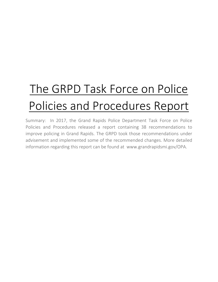# The GRPD Task Force on Police Policies and Procedures Report

Summary: In 2017, the Grand Rapids Police Department Task Force on Police Policies and Procedures released a report containing 38 recommendations to improve policing in Grand Rapids. The GRPD took those recommendations under advisement and implemented some of the recommended changes. More detailed information regarding this report can be found at www.grandrapidsmi.gov/OPA.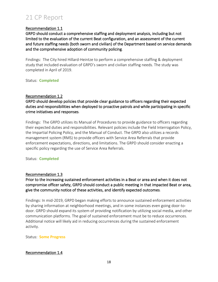#### Recommendation 1.1

GRPD should conduct a comprehensive staffing and deployment analysis, including but not limited to the evaluation of the current Beat configuration, and an assessment of the current and future staffing needs (both sworn and civilian) of the Department based on service demands and the comprehensive adoption of community policing.

Findings: The City hired Hillard-Heintze to perform a comprehensive staffing & deployment study that included evaluation of GRPD's sworn and civilian staffing needs. The study was completed in April of 2019.

Status: **Completed**

#### Recommendation 1.2

GRPD should develop policies that provide clear guidance to officers regarding their expected duties and responsibilities when deployed to proactive patrols and while participating in specific crime initiatives and responses.

Findings: The GRPD utilizes its Manual of Procedures to provide guidance to officers regarding their expected duties and responsibilities. Relevant policies include the Field Interrogation Policy, the Impartial Policing Policy, and the Manual of Conduct. The GRPD also utilizes a records management system (RMS) to provide officers with Service Area Referrals that provide enforcement expectations, directions, and limitations. The GRPD should consider enacting a specific policy regarding the use of Service Area Referrals.

Status: **Completed**

#### Recommendation 1.3

Prior to the increasing sustained enforcement activities in a Beat or area and when it does not compromise officer safety, GRPD should conduct a public meeting in that impacted Beat or area, give the community notice of these activities, and identify expected outcomes.

Findings: In mid-2019, GRPD began making efforts to announce sustained enforcement activities by sharing information at neighborhood meetings, and in some instances even going door-todoor. GRPD should expand its system of providing notification by utilizing social media, and other communication platforms. The goal of sustained enforcement must be to reduce occurrences. Additional notice will likely aid in reducing occurrences during the sustained enforcement activity.

Status: **Some Progress**

#### Recommendation 1.4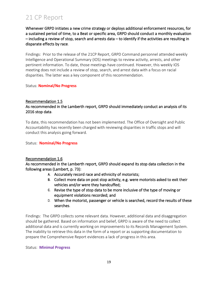Whenever GRPD initiates a new crime strategy or deploys additional enforcement resources, for a sustained period of time, to a Beat or specific area, GRPD should conduct a monthly evaluation – including a review of stop, search and arrests data – to identify if the activities are resulting in disparate effects by race.

Findings: Prior to the release of the 21CP Report, GRPD Command personnel attended weekly Intelligence and Operational Summary (IOS) meetings to review activity, arrests, and other pertinent information. To date, those meetings have continued. However, this weekly IOS meeting does not include a review of stop, search, and arrest data with a focus on racial disparities. The latter was a key component of this recommendation.

#### Status: **Nominal/No Progress**

#### Recommendation 1.5

#### As recommended in the Lamberth report, GRPD should immediately conduct an analysis of its 2016 stop data.

To date, this recommendation has not been implemented. The Office of Oversight and Public Accountability has recently been charged with reviewing disparities in traffic stops and will conduct this analysis going forward.

#### Status: **Nominal/No Progress**

#### Recommendation 1.6

As recommended in the Lamberth report, GRPD should expand its stop data collection in the following areas (Lambert, p. 73):

- **A.** Accurately record race and ethnicity of motorists;
- **B.** Collect more data on post stop activity, e.g. were motorists asked to exit their vehicles and/or were they handcuffed;
- **C.** Revise the type of stop data to be more inclusive of the type of moving or equipment violations recorded; and
- D. When the motorist, passenger or vehicle is searched, record the results of these searches.

Findings: The GRPD collects some relevant data. However, additional data and disaggregation should be gathered. Based on information and belief, GRPD is aware of the need to collect additional data and is currently working on improvements to its Records Management System. The inability to retrieve this data in the form of a report or as supporting documentation to prepare the Comprehensive Report evidences a lack of progress in this area.

#### Status: **Minimal Progress**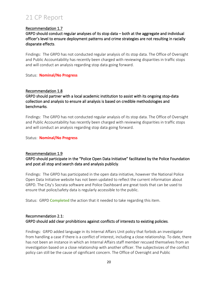#### Recommendation 1.7

GRPD should conduct regular analyses of its stop data – both at the aggregate and individual officer's level to ensure deployment patterns and crime strategies are not resulting in racially disparate effects.

Findings: The GRPD has not conducted regular analysis of its stop data. The Office of Oversight and Public Accountability has recently been charged with reviewing disparities in traffic stops and will conduct an analysis regarding stop data going forward.

Status: **Nominal/No Progress**

#### Recommendation 1.8

GRPD should partner with a local academic institution to assist with its ongoing stop-data collection and analysis to ensure all analysis is based on credible methodologies and benchmarks.

Findings: The GRPD has not conducted regular analysis of its stop data. The Office of Oversight and Public Accountability has recently been charged with reviewing disparities in traffic stops and will conduct an analysis regarding stop data going forward.

Status: **Nominal/No Progress**

#### Recommendation 1.9

GRPD should participate in the "Police Open Data Initiative" facilitated by the Police Foundation and post all stop and search data and analysis publicly.

Findings: The GRPD has participated in the open data initiative, however the National Police Open Data Initiative website has not been updated to reflect the current information about GRPD. The City's Socrata software and Police Dashboard are great tools that can be used to ensure that police/safety data is regularly accessible to the public.

Status: GRPD **Completed** the action that it needed to take regarding this item.

#### Recommendation 2.1: GRPD should add clear prohibitions against conflicts of interests to existing policies.

Findings: GRPD added language in its Internal Affairs Unit policy that forbids an investigator from handling a case if there is a conflict of interest, including a close relationship. To date, there has not been an instance in which an Internal Affairs staff member recused themselves from an investigation based on a close relationship with another officer. The subjectivizes of the conflict policy can still be the cause of significant concern. The Office of Oversight and Public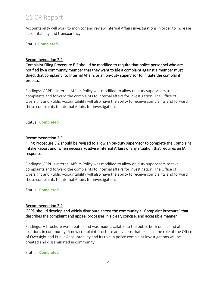Accountability will work to monitor and review Internal Affairs investigations in order to increase accountability and transparency.

Status: **Completed**

#### Recommendation 2.2

Complaint Filing Procedure E.2 should be modified to require that police personnel who are notified by a community member that they want to file a complaint against a member must direct that complaint to Internal Affairs or an on-duty supervisor to initiate the complaint process.

Findings: GRPD's Internal Affairs Policy was modified to allow on duty supervisors to take complaints and forward the complaints to internal affairs for investigation. The Office of Oversight and Public Accountability will also have the ability to receive complaints and forward those complaints to Internal Affairs for investigation.

#### Status: **Completed**

#### Recommendation 2.3

#### Filing Procedure E.2 should be revised to allow an on-duty supervisor to complete the Complaint Intake Report and, when necessary, advise Internal Affairs of any situation that requires an IA response.

Findings: GRPD's Internal Affairs Policy was modified to allow on duty supervisors to take complaints and forward the complaints to internal affairs for investigation. The Office of Oversight and Public Accountability will also have the ability to receive complaints and forward those complaints to Internal Affairs for investigation.

#### Status: **Completed**

#### Recommendation 2.4

#### GRPD should develop and widely distribute across the community a "Complaint Brochure" that describes the complaint and appeal processes in a clear, concise, and accessible manner.

Findings: A brochure was created and was made available to the public both online and at locations in community. A new complaint brochure and videos that explains the role of the Office of Oversight and Public Accountability and its role in police complaint investigations will be created and disseminated in community.

#### Status: **Completed**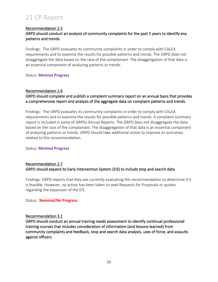#### Recommendation 2.5

#### GRPD should conduct an analysis of community complaints for the past 5 years to identify any patterns and trends.

Findings: The GRPD evaluates its community complaints in order to comply with CALEA requirements and to examine the results for possible patterns and trends. The GRPD does not disaggregate the data based on the race of the complainant. The disaggregation of that data is an essential component of analyzing patterns or trends.

#### Status: **Minimal Progress**

#### Recommendation 2.6

#### GRPD should complete and publish a complaint summary report on an annual basis that provides a comprehensive report and analysis of the aggregate data on complaint patterns and trends.

Findings: The GRPD evaluates its community complaints in order to comply with CALEA requirements and to examine the results for possible patterns and trends. A complaint summary report is included in some of GRPDs Annual Reports. The GRPD does not disaggregate the data based on the race of the complainant. The disaggregation of that data is an essential component of analyzing patterns or trends. GRPD should take additional action to improve its outcomes related to this recommendation.

#### Status: **Minimal Progress**

#### Recommendation 2.7 GRPD should expand its Early Intervention System (EIS) to include stop and search data.

Findings: GRPD reports that they are currently evaluating this recommendation to determine if it is feasible. However, no action has been taken to seek Requests for Proposals or quotes regarding the expansion of the EIS.

Status: **Nominal/No Progress**

#### Recommendation 3.1

GRPD should conduct an annual training needs assessment to identify continual professional training courses that includes consideration of information (and lessons learned) from community complaints and feedback, stop and search data analysis, uses of force, and assaults against officers.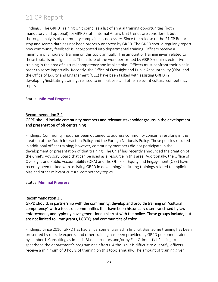Findings: The GRPD Training Unit compiles a list of annual training opportunities (both mandatory and optional) for GRPD staff. Internal Affairs Unit trends are considered, but a thorough analysis of community complaints is necessary. Since the release of the 21 CP Report, stop and search data has not been properly analyzed by GRPD. The GRPD should regularly report how community feedback is incorporated into departmental training. Officers receive a minimum of 3 hours of training on this topic annually. The amount of training given related to these topics is not significant. The nature of the work performed by GRPD requires extensive training in the area of cultural competency and implicit bias. Officers must confront their bias in order to serve impartially. Recently, the Office of Oversight and Public Accountability (OPA) and the Office of Equity and Engagement (OEE) have been tasked with assisting GRPD in developing/instituting trainings related to implicit bias and other relevant cultural competency topics.

#### Status: **Minimal Progress**

#### Recommendation 3.2

#### GRPD should include community members and relevant stakeholder groups in the development and presentation of officer training.

Findings: Community input has been obtained to address community concerns resulting in the creation of the Youth Interaction Policy and the Foreign Nationals Policy. Those policies resulted in additional officer training; however, community members did not participate in the development or presentation of that training. The Chief has recently announced the creation of the Chief's Advisory Board that can be used as a resource in this area. Additionally, the Office of Oversight and Public Accountability (OPA) and the Office of Equity and Engagement (OEE) have recently been tasked with assisting GRPD in developing/instituting trainings related to implicit bias and other relevant cultural competency topics.

#### Status: **Minimal Progress**

#### Recommendation 3.3

GRPD should, in partnership with the community, develop and provide training on "cultural competency" with a focus on communities that have been historically disenfranchised by law enforcement, and typically have generational mistrust with the police. These groups include, but are not limited to, immigrants, LGBTQ, and communities of color.

Findings: Since 2016, GRPD has had all personnel trained in Implicit Bias. Some training has been presented by outside experts, and other training has been provided by GRPD personnel trained by Lamberth Consulting as Implicit Bias instructors and/or by Fair & Impartial Policing to spearhead the department's program and efforts. Although it is difficult to quantify, officers receive a minimum of 3 hours of training on this topic annually. The amount of training given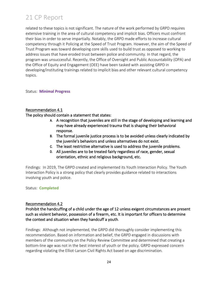related to these topics is not significant. The nature of the work performed by GRPD requires extensive training in the area of cultural competency and implicit bias. Officers must confront their bias in order to serve impartially. Notably, the GRPD made efforts to increase cultural competency through it Policing at the Speed of Trust Program. However, the aim of the Speed of Trust Program was toward developing core skills used to build trust as opposed to working to address issues that have eroded trust between police and community. In that regard, the program was unsuccessful. Recently, the Office of Oversight and Public Accountability (OPA) and the Office of Equity and Engagement (OEE) have been tasked with assisting GRPD in developing/instituting trainings related to implicit bias and other relevant cultural competency topics.

Status: **Minimal Progress**

#### Recommendation 4.1

The policy should contain a statement that states:

- **A.** A recognition that juveniles are still in the stage of developing and learning and may have already experienced trauma that is shaping their behavioral response.
- **B.** The formal juvenile justice process is to be avoided unless clearly indicated by the juvenile's behaviors and unless alternatives do not exist.
- **C.** The least restrictive alternative is used to address the juvenile problems.
- **D.** All juveniles are to be treated fairly regardless of race, gender, sexual orientation, ethnic and religious background, etc.

Findings: In 2019, The GRPD created and implemented its Youth Interaction Policy. The Youth Interaction Policy is a strong policy that clearly provides guidance related to interactions involving youth and police.

#### Status: **Completed**

#### Recommendation 4.2

Prohibit the handcuffing of a child under the age of 12 unless exigent circumstances are present such as violent behavior, possession of a firearm, etc. It is important for officers to determine the context and situation when they handcuff a youth.

Findings: Although not implemented, the GRPD did thoroughly consider implementing this recommendation. Based on information and belief, the GRPD engaged in discussions with members of the community on the Policy Review Committee and determined that creating a bottom-line age was not in the best interest of youth or the policy. GRPD expressed concern regarding violating the Elliot-Larson Civil Rights Act based on age discrimination.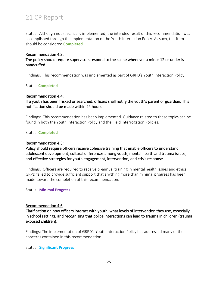Status: Although not specifically implemented, the intended result of this recommendation was accomplished through the implementation of the Youth Interaction Policy. As such, this item should be considered **Completed**

#### Recommendation 4.3:

The policy should require supervisors respond to the scene whenever a minor 12 or under is handcuffed.

Findings: This recommendation was implemented as part of GRPD's Youth Interaction Policy.

#### Status: **Completed**

#### Recommendation 4.4:

If a youth has been frisked or searched, officers shall notify the youth's parent or guardian. This notification should be made within 24 hours.

Findings: This recommendation has been implemented. Guidance related to these topics can be found in both the Youth Interaction Policy and the Field Interrogation Policies.

#### Status: **Completed**

#### Recommendation 4.5:

Policy should require officers receive cohesive training that enable officers to understand adolescent development; cultural differences among youth; mental health and trauma issues; and effective strategies for youth engagement, intervention, and crisis response.

Findings: Officers are required to receive bi-annual training in mental health issues and ethics. GRPD failed to provide sufficient support that anything more than minimal progress has been made toward the completion of this recommendation.

Status: **Minimal Progress**

#### Recommendation 4.6

Clarification on how officers interact with youth, what levels of intervention they use, especially in school settings, and recognizing that police interactions can lead to trauma in children (trauma exposed children).

Findings: The implementation of GRPD's Youth Interaction Policy has addressed many of the concerns contained in this recommendation.

Status: **Significant Progress**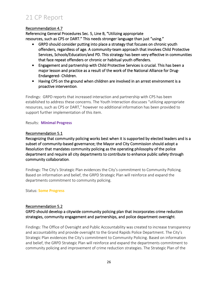#### Recommendation 4.7

Referencing General Procedures Sec. 5, Line B, "Utilizing appropriate resources, such as CPS or DART." This needs stronger language than just "using."

- GRPD should consider putting into place a strategy that focuses on chronic youth offenders, regardless of age. A community-team approach that involves Child Protective Services, Schools/Education/and PD. This strategy has been very effective in communities that face repeat offenders or chronic or habitual youth offenders.
- Engagement and partnership with Child Protective Services is crucial. This has been a major lesson and practice as a result of the work of the National Alliance for Drug-Endangered- Children.
- Having CPS on the ground when children are involved in an arrest environment is a proactive intervention.

Findings: GRPD reports that increased interaction and partnership with CPS has been established to address these concerns. The Youth Interaction discusses "utilizing appropriate resources, such as CPS or DART," however no additional information has been provided to support further implementation of this item.

#### Results: **Minimal Progress**

#### Recommendation 5.1

Recognizing that community policing works best when it is supported by elected leaders and is a subset of community-based governance; the Mayor and City Commission should adopt a Resolution that mandates community policing as the operating philosophy of the police department and require all city departments to contribute to enhance public safety through community collaboration.

Findings: The City's Strategic Plan evidences the City's commitment to Community Policing. Based on information and belief, the GRPD Strategic Plan will reinforce and expand the departments commitment to community policing.

#### Status: **Some Progress**

#### Recommendation 5.2

GRPD should develop a citywide community policing plan that incorporates crime reduction strategies, community engagement and partnerships, and police department oversight.

Findings: The Office of Oversight and Public Accountability was created to increase transparency and accountability and provide oversight to the Grand Rapids Police Department. The City's Strategic Plan evidences the City's commitment to Community Policing. Based on information and belief, the GRPD Strategic Plan will reinforce and expand the departments commitment to community policing and improvement of crime reduction strategies. The Strategic Plan of the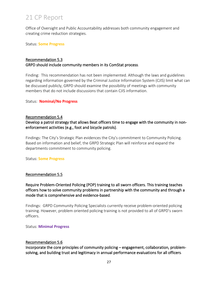Office of Oversight and Public Accountability addresses both community engagement and creating crime reduction strategies.

Status: **Some Progress**

#### Recommendation 5.3 GRPD should include community members in its ComStat process.

Finding: This recommendation has not been implemented. Although the laws and guidelines regarding information governed by the Criminal Justice Information System (CJIS) limit what can be discussed publicly, GRPD should examine the possibility of meetings with community members that do not include discussions that contain CJIS information.

#### Status: **Nominal/No Progress**

#### Recommendation 5.4

#### Develop a patrol strategy that allows Beat officers time to engage with the community in nonenforcement activities (e.g., foot and bicycle patrols).

Findings: The City's Strategic Plan evidences the City's commitment to Community Policing. Based on information and belief, the GRPD Strategic Plan will reinforce and expand the departments commitment to community policing.

Status: **Some Progress**

#### Recommendation 5.5

#### Require Problem-Oriented Policing (POP) training to all sworn officers. This training teaches officers how to solve community problems in partnership with the community and through a mode that is comprehensive and evidence-based.

Findings: GRPD Community Policing Specialists currently receive problem-oriented policing training. However, problem oriented policing training is not provided to all of GRPD's sworn officers.

Status: **Minimal Progress**

#### Recommendation 5.6

Incorporate the core principles of community policing – engagement, collaboration, problemsolving, and building trust and legitimacy in annual performance evaluations for all officers.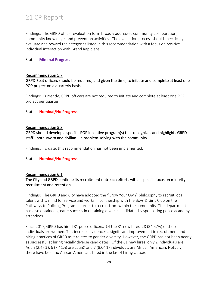Findings: The GRPD officer evaluation form broadly addresses community collaboration, community knowledge, and prevention activities. The evaluation process should specifically evaluate and reward the categories listed in this recommendation with a focus on positive individual interaction with Grand Rapidians.

#### Status: **Minimal Progress**

#### Recommendation 5.7

#### GRPD Beat officers should be required, and given the time, to initiate and complete at least one POP project on a quarterly basis.

Findings: Currently, GRPD officers are not required to initiate and complete at least one POP project per quarter.

Status: **Nominal/No Progress**

#### Recommendation 5.8

GRPD should develop a specific POP incentive program(s) that recognizes and highlights GRPD staff - both sworn and civilian - in problem-solving with the community.

Findings: To date, this recommendation has not been implemented.

#### Status: **Nominal/No Progress**

Recommendation 6.1

#### The City and GRPD continue its recruitment outreach efforts with a specific focus on minority recruitment and retention.

Findings: The GRPD and City have adopted the "Grow Your Own" philosophy to recruit local talent with a mind for service and works in partnership with the Boys & Girls Club on the Pathways to Policing Program in order to recruit from within the community. The department has also obtained greater success in obtaining diverse candidates by sponsoring police academy attendees.

Since 2017, GRPD has hired 81 police officers. Of the 81 new hires, 28 (34.57%) of those individuals are women. This increase evidences a significant improvement in recruitment and hiring practices of GRPD as it relates to gender diversity. However, the GRPD has not been nearly as successful at hiring racially diverse candidates. Of the 81 new hires, only 2 individuals are Asian (2.47%), 6 (7.41%) are LatinX and 7 (8.64%) individuals are African American. Notably, there have been no African Americans hired in the last 4 hiring classes.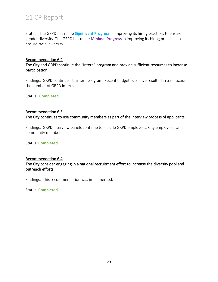Status: The GRPD has made **Significant Progress** in improving its hiring practices to ensure gender diversity. The GRPD has made **Minimal Progress** in improving its hiring practices to ensure racial diversity.

#### Recommendation 6.2

#### The City and GRPD continue the "Intern" program and provide sufficient resources to increase participation.

Findings: GRPD continues its intern program. Recent budget cuts have resulted in a reduction in the number of GRPD interns.

Status: **Completed**

#### Recommendation 6.3

The City continues to use community members as part of the interview process of applicants.

Findings: GRPD interview panels continue to include GRPD employees, City employees, and community members.

Status: **Completed**

#### Recommendation 6.4

The City consider engaging in a national recruitment effort to increase the diversity pool and outreach efforts.

Findings: This recommendation was implemented.

Status: **Completed**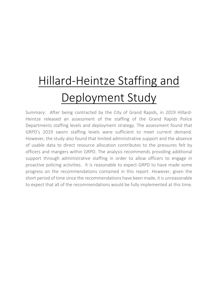# Hillard-Heintze Staffing and Deployment Study

Summary: After being contracted by the City of Grand Rapids, in 2019 Hillard-Heintze released an assessment of the staffing of the Grand Rapids Police Departments staffing levels and deployment strategy. The assessment found that GRPD's 2019 sworn staffing levels were sufficient to meet current demand. However, the study also found that limited administrative support and the absence of usable data to direct resource allocation contributes to the pressures felt by officers and mangers within GRPD. The analysis recommends providing additional support through administrative staffing in order to allow officers to engage in proactive policing activities. It is reasonable to expect GRPD to have made some progress on the recommendations contained in this report. However, given the short period of time since the recommendations have been made, it is unreasonable to expect that all of the recommendations would be fully implemented at this time.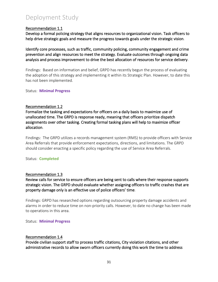#### Recommendation 1.1

Develop a formal policing strategy that aligns resources to organizational vision. Task officers to help drive strategic goals and measure the progress towards goals under the strategic vision.

Identify core processes, such as traffic, community policing, community engagement and crime prevention and align resources to meet the strategy. Evaluate outcomes through ongoing data analysis and process improvement to drive the best allocation of resources for service delivery.

Findings: Based on information and belief, GRPD has recently begun the process of evaluating the adoption of this strategy and implementing it within its Strategic Plan. However, to date this has not been implemented.

Status: **Minimal Progress**

#### Recommendation 1.2

Formalize the tasking and expectations for officers on a daily basis to maximize use of unallocated time. The GRPD is response ready, meaning that officers prioritize dispatch assignments over other tasking. Creating formal tasking plans will help to maximize officer allocation.

Findings: The GRPD utilizes a records management system (RMS) to provide officers with Service Area Referrals that provide enforcement expectations, directions, and limitations. The GRPD should consider enacting a specific policy regarding the use of Service Area Referrals.

#### Status: **Completed**

#### Recommendation 1.3

Review calls for service to ensure officers are being sent to calls where their response supports strategic vision. The GRPD should evaluate whether assigning officers to traffic crashes that are property damage only is an effective use of police officers' time.

Findings: GRPD has researched options regarding outsourcing property damage accidents and alarms in order to reduce time on non-priority calls. However, to date no change has been made to operations in this area.

Status: **Minimal Progress**

#### Recommendation 1.4

Provide civilian support staff to process traffic citations, City violation citations, and other administrative records to allow sworn officers currently doing this work the time to address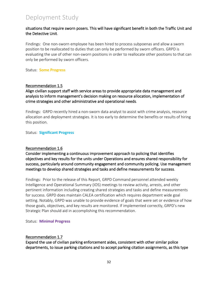#### situations that require sworn posers. This will have significant benefit in both the Traffic Unit and the Detective Unit.

Findings: One non-sworn employee has been hired to process subpoenas and allow a sworn position to be reallocated to duties that can only be performed by sworn officers. GRPD is evaluating the use of other non-sworn positions in order to reallocate other positions to that can only be performed by sworn officers.

Status: **Some Progress**

#### Recommendation 1.5

#### Align civilian support staff with service areas to provide appropriate data management and analysis to inform management's decision making on resource allocation, implementation of crime strategies and other administrative and operational needs.

Findings: GRPD recently hired a non-sworn data analyst to assist with crime analysis, resource allocation and deployment strategies. It is too early to determine the benefits or results of hiring this position.

Status: **Significant Progress**

#### Recommendation 1.6

Consider implementing a continuous improvement approach to policing that identifies objectives and key results for the units under Operations and ensures shared responsibility for success, particularly around community engagement and community policing. Use management meetings to develop shared strategies and tasks and define measurements for success.

Findings: Prior to the release of this Report, GRPD Command personnel attended weekly Intelligence and Operational Summary (IOS) meetings to review activity, arrests, and other pertinent information including creating shared strategies and tasks and define measurements for success. GRPD does maintain CALEA certification which requires department wide goal setting. Notably, GRPD was unable to provide evidence of goals that were set or evidence of how those goals, objectives, and key results are monitored. If implemented correctly, GRPD's new Strategic Plan should aid in accomplishing this recommendation.

Status: **Minimal Progress**

#### Recommendation 1.7

Expand the use of civilian parking enforcement aides, consistent with other similar police departments, to issue parking citations and to accept parking citation assignments, as this type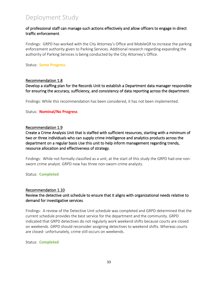#### of professional staff can manage such actions effectively and allow officers to engage in direct traffic enforcement.

Findings: GRPD has worked with the City Attorney's Office and MobileGR to increase the parking enforcement authority given to Parking Services. Additional research regarding expanding the authority of Parking Services is being conducted by the City Attorney's Office.

Status: **Some Progress**

#### Recommendation 1.8

Develop a staffing plan for the Records Unit to establish a Department data manager responsible for ensuring the accuracy, sufficiency, and consistency of data reporting across the department.

Findings: While this recommendation has been considered, it has not been implemented.

#### Status: **Nominal/No Progress**

#### Recommendation 1.9

Create a Crime Analysis Unit that is staffed with sufficient resources, starting with a minimum of two or three individuals who can supply crime intelligence and analytics products across the department on a regular basis Use this unit to help inform management regarding trends, resource allocation and effectiveness of strategy.

Findings: While not formally classified as a unit, at the start of this study the GRPD had one nonsworn crime analyst. GRPD now has three non-sworn crime analysts.

Status: **Completed**

#### Recommendation 1.10

#### Review the detective unit schedule to ensure that it aligns with organizational needs relative to demand for investigative services.

Findings: A review of the Detective Unit schedule was completed and GRPD determined that the current schedule provides the best service for the department and the community. GRPD indicated that GRPD detectives do not regularly work weekend shifts because courts are closed on weekends. GRPD should reconsider assigning detectives to weekend shifts. Whereas courts are closed- unfortunately, crime still occurs on weekends.

#### Status: **Completed**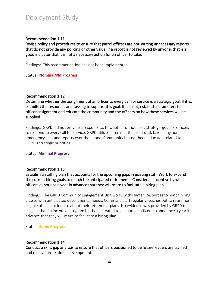#### Recommendation 1.11

Revise policy and procedures to ensure that patrol officers are not writing unnecessary reports that do not provide any policing or other value. If a report is not reviewed by anyone, that is a good indicator that it is not a necessary action for an officer to take.

Findings: This recommendation has not been implemented.

Status: **Nominal/No Progress**

#### Recommendation 1.12

Determine whether the assignment of an officer to every call for service is a strategic goal. If it is, establish the resources and tasking to support this goal. If it is not, establish parameters for officer assignment and educate the community and the officers on how these services will be supplied.

Findings: GRPD did not provide a response as to whether or not it is a strategic goal for officers to respond to every call for service. GRPD utilizes interns at the front desk take many nonemergency calls and reports over the phone. Community has not been educated related to GRPD's strategic priorities.

Status: **Minimal Progress**

#### Recommendation 1.13

Establish a staffing plan that accounts for the upcoming gaps in existing staff. Work to expand the current hiring goals to match the anticipated retirements. Consider an incentive by which officers announce a year in advance that they will retire to facilitate a hiring plan.

Findings: The GRPD Community Engagement Unit works with Human Resources to match hiring classes with anticipated departmental needs. Command staff regularly reaches out to retirement eligible officers to inquire about their retirement plans. No evidence was provided by GRPD to suggest that an incentive program has been created to encourage officers to announce a year in advance that they will retire to facilitate a hiring plan.

Status: **Some Progress**

#### Recommendation 1.14

Conduct a skills gap analysis to ensure that officers positioned to be future leaders are trained and receive professional development.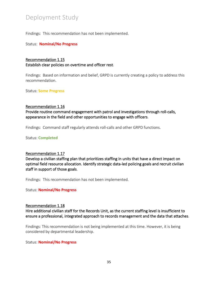Findings: This recommendation has not been implemented.

Status: **Nominal/No Progress**

#### Recommendation 1.15 Establish clear policies on overtime and officer rest.

Findings: Based on information and belief, GRPD is currently creating a policy to address this recommendation.

Status: **Some Progress**

#### Recommendation 1.16

Provide routine command engagement with patrol and investigations through roll-calls, appearance in the field and other opportunities to engage with officers.

Findings: Command staff regularly attends roll-calls and other GRPD functions.

Status: **Completed**

#### Recommendation 1.17

Develop a civilian staffing plan that prioritizes staffing in units that have a direct impact on optimal field resource allocation. Identify strategic data-led policing goals and recruit civilian staff in support of those goals.

Findings: This recommendation has not been implemented.

Status: **Nominal/No Progress**

#### Recommendation 1.18

Hire additional civilian staff for the Records Unit, as the current staffing level is insufficient to ensure a professional, integrated approach to records management and the data that attaches.

Findings: This recommendation is not being implemented at this time. However, it is being considered by departmental leadership.

#### Status: **Nominal/No Progress**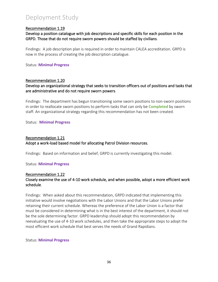#### Recommendation 1.19

Develop a position catalogue with job descriptions and specific skills for each position in the GRPD. Those that do not require sworn powers should be staffed by civilians.

Findings: A job description plan is required in order to maintain CALEA accreditation. GRPD is now in the process of creating the job description catalogue.

Status: **Minimal Progress**

#### Recommendation 1.20

Develop an organizational strategy that seeks to transition officers out of positions and tasks that are administrative and do not require sworn powers.

Findings: The department has begun transitioning some sworn positions to non-sworn positions in order to reallocate sworn positions to perform tasks that can only be **Completed** by sworn staff. An organizational strategy regarding this recommendation has not been created.

Status: **Minimal Progress**

#### Recommendation 1.21 Adopt a work-load based model for allocating Patrol Division resources.

Findings: Based on information and belief, GRPD is currently investigating this model.

#### Status: **Minimal Progress**

#### Recommendation 1.22 Closely examine the use of 4-10 work schedule, and when possible, adopt a more efficient work schedule.

Findings: When asked about this recommendation, GRPD indicated that implementing this initiative would involve negotiations with the Labor Unions and that the Labor Unions prefer retaining their current schedule. Whereas the preference of the Labor Union is a factor that must be considered in determining what is in the best interest of the department, it should not be the sole determining factor. GRPD leadership should adopt this recommendation by reevaluating the use of 4-10 work schedules, and then take the appropriate steps to adopt the most efficient work schedule that best serves the needs of Grand Rapidians.

#### Status: **Minimal Progress**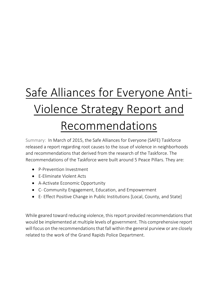# Safe Alliances for Everyone Anti-Violence Strategy Report and Recommendations

Summary: In March of 2015, the Safe Alliances for Everyone (SAFE) Taskforce released a report regarding root causes to the issue of violence in neighborhoods and recommendations that derived from the research of the Taskforce. The Recommendations of the Taskforce were built around 5 Peace Pillars. They are:

- P-Prevention Investment
- E-Eliminate Violent Acts
- A-Activate Economic Opportunity
- C- Community Engagement, Education, and Empowerment
- E- Effect Positive Change in Public Institutions [Local, County, and State]

While geared toward reducing violence, this report provided recommendations that would be implemented at multiple levels of government. This comprehensive report will focus on the recommendations that fall within the general purview or are closely related to the work of the Grand Rapids Police Department.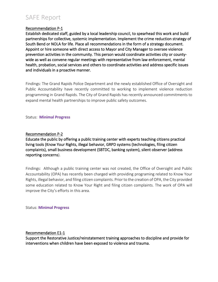## SAFE Report

#### Recommendation P-1

Establish dedicated staff, guided by a local leadership council, to spearhead this work and build partnerships for collective, systemic implementation. Implement the crime reduction strategy of South Bend or NOLA for life. Place all recommendations in the form of a strategy document. Appoint or hire someone with direct access to Mayor and City Manager to oversee violence prevention activities in the community. This person would coordinate activities city or countywide as well as convene regular meetings with representative from law enforcement, mental health, probation, social services and others to coordinate activities and address specific issues and individuals in a proactive manner.

Findings: The Grand Rapids Police Department and the newly established Office of Oversight and Public Accountability have recently committed to working to implement violence reduction programming in Grand Rapids. The City of Grand Rapids has recently announced commitments to expand mental health partnerships to improve public safety outcomes.

#### Status: **Minimal Progress**

#### Recommendation P-2

Educate the public by offering a public training center with experts teaching citizens practical living tools (Know Your Rights, illegal behavior, GRPD systems (technologies, filing citizen complaints), small business development (SBTDC, banking system), silent observer (address reporting concerns).

Findings: Although a public training center was not created, the Office of Oversight and Public Accountability (OPA) has recently been charged with providing programing related to Know Your Rights, illegal behavior, and filing citizen complaints. Prior to the creation of OPA, the City provided some education related to Know Your Right and filing citizen complaints. The work of OPA will improve the City's efforts in this area.

Status: **Minimal Progress**

#### Recommendation E1-1

Support the Restorative Justice/reinstatement training approaches to discipline and provide for interventions when children have been exposed to violence and trauma.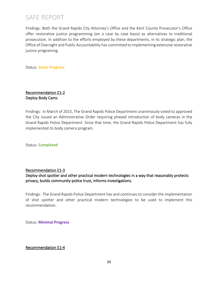Findings: Both the Grand Rapids City Attorney's Office and the Kent County Prosecutor's Office offer restorative justice programming (on a case by case basis) as alternatives to traditional prosecution. In addition to the efforts employed by these departments, in its strategic plan, the Office of Oversight and Public Accountability has committed to implementing extensive restorative justice programing.

Status: **Some Progress**

#### Recommendation E1-2 Deploy Body Cams

Findings: In March of 2015, The Grand Rapids Police Department unanimously voted to approved the City issued an Administrative Order requiring phased introduction of body cameras in the Grand Rapids Police Department. Since that time, the Grand Rapids Police Department has fully implemented its body camera program.

Status: **Completed**

#### Recommendation E1-3

Deploy shot spotter and other practical modern technologies in a way that reasonably protects privacy, builds community-police trust, informs investigations.

Findings: The Grand Rapids Police Department has and continues to consider the implementation of shot spotter and other practical modern technologies to be used to implement this recommendation.

Status: **Minimal Progress**

#### Recommendation E1-4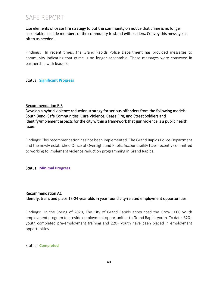Use elements of cease fire strategy to put the community on notice that crime is no longer acceptable. Include members of the community to stand with leaders. Convey this message as often as needed.

Findings: In recent times, the Grand Rapids Police Department has provided messages to community indicating that crime is no longer acceptable. These messages were conveyed in partnership with leaders.

Status: **Significant Progress**

#### Recommendation E-5

Develop a hybrid violence reduction strategy for serious offenders from the following models: South Bend, Safe Communities, Cure Violence, Cease Fire, and Street Soldiers and identify/implement aspects for the city within a framework that gun violence is a public health issue.

Findings: This recommendation has not been implemented. The Grand Rapids Police Department and the newly established Office of Oversight and Public Accountability have recently committed to working to implement violence reduction programming in Grand Rapids.

#### Status: **Minimal Progress**

#### Recommendation A1 Identify, train, and place 15-24 year olds in year round city-related employment opportunities.

Findings: In the Spring of 2020, The City of Grand Rapids announced the Grow 1000 youth employment program to provide employment opportunities to Grand Rapids youth. To date, 320+ youth completed pre-employment training and 220+ youth have been placed in employment opportunities.

Status: **Completed**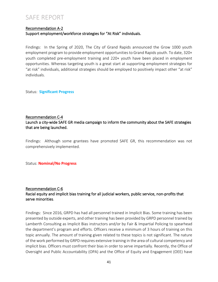#### Recommendation A-2 Support employment/workforce strategies for "At Risk" individuals.

Findings: In the Spring of 2020, The City of Grand Rapids announced the Grow 1000 youth employment program to provide employment opportunities to Grand Rapids youth. To date, 320+ youth completed pre-employment training and 220+ youth have been placed in employment opportunities. Whereas targeting youth is a great start at supporting employment strategies for "at risk" individuals, additional strategies should be employed to positively impact other "at risk" individuals.

Status: **Significant Progress**

#### Recommendation C-4 Launch a city-wide SAFE GR media campaign to inform the community about the SAFE strategies that are being launched.

Findings: Although some grantees have promoted SAFE GR, this recommendation was not comprehensively implemented.

Status: **Nominal/No Progress**

#### Recommendation C-6

#### Racial equity and implicit bias training for all judicial workers, public service, non-profits that serve minorities.

Findings: Since 2016, GRPD has had all personnel trained in Implicit Bias. Some training has been presented by outside experts, and other training has been provided by GRPD personnel trained by Lamberth Consulting as Implicit Bias instructors and/or by Fair & Impartial Policing to spearhead the department's program and efforts. Officers receive a minimum of 3 hours of training on this topic annually. The amount of training given related to these topics is not significant. The nature of the work performed by GRPD requires extensive training in the area of cultural competency and implicit bias. Officers must confront their bias in order to serve impartially. Recently, the Office of Oversight and Public Accountability (OPA) and the Office of Equity and Engagement (OEE) have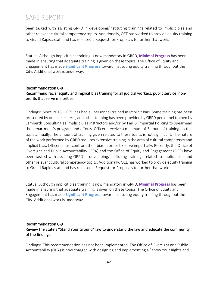been tasked with assisting GRPD in developing/instituting trainings related to implicit bias and other relevant cultural competency topics. Additionally, OEE has worked to provide equity training to Grand Rapids staff and has released a Request for Proposals to further that work.

Status: Although implicit bias training is now mandatory in GRPD, **Minimal Progress** has been made in ensuring that adequate training is given on these topics. The Office of Equity and Engagement has made **Significant Progress** toward instituting equity training throughout the City. Additional work is underway.

#### Recommendation C-8

#### Recommend racial equity and implicit bias training for all judicial workers, public service, nonprofits that serve minorities.

Findings: Since 2016, GRPD has had all personnel trained in Implicit Bias. Some training has been presented by outside experts, and other training has been provided by GRPD personnel trained by Lamberth Consulting as Implicit Bias instructors and/or by Fair & Impartial Policing to spearhead the department's program and efforts. Officers receive a minimum of 3 hours of training on this topic annually. The amount of training given related to these topics is not significant. The nature of the work performed by GRPD requires extensive training in the area of cultural competency and implicit bias. Officers must confront their bias in order to serve impartially. Recently, the Office of Oversight and Public Accountability (OPA) and the Office of Equity and Engagement (OEE) have been tasked with assisting GRPD in developing/instituting trainings related to implicit bias and other relevant cultural competency topics. Additionally, OEE has worked to provide equity training to Grand Rapids staff and has released a Request for Proposals to further that work.

Status: Although implicit bias training is now mandatory in GRPD, **Minimal Progress** has been made in ensuring that adequate training is given on these topics. The Office of Equity and Engagement has made **Significant Progress** toward instituting equity training throughout the City. Additional work is underway.

#### Recommendation C-9

#### Review the State's "Stand Your Ground" law to understand the law and educate the community of the findings.

Findings: This recommendation has not been implemented. The Office of Oversight and Public Accountability (OPA) is now charged with designing and implementing a "Know Your Rights and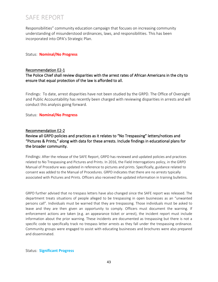Responsibilities" community education campaign that focuses on increasing community understanding of misunderstood ordinances, laws, and responsibilities. This has been incorporated into OPA's Strategic Plan.

#### Status: **Nominal/No Progress**

#### Recommendation E2-1

#### The Police Chief shall review disparities with the arrest rates of African Americans in the city to ensure that equal protection of the law is afforded to all.

Findings: To date, arrest disparities have not been studied by the GRPD. The Office of Oversight and Public Accountability has recently been charged with reviewing disparities in arrests and will conduct this analysis going forward.

#### Status: **Nominal/No Progress**

#### Recommendation E2-2

#### Review all GRPD policies and practices as it relates to "No Trespassing" letters/notices and "Pictures & Prints," along with data for these arrests. Include findings in educational plans for the broader community.

Findings: After the release of the SAFE Report, GRPD has reviewed and updated policies and practices related to No Trespassing and Pictures and Prints. In 2016, the Field Interrogations policy, in the GRPD Manual of Procedure was updated in reference to pictures and prints. Specifically, guidance related to consent was added to the Manual of Procedures. GRPD indicates that there are no arrests typically associated with Pictures and Prints. Officers also received the updated information in training bulletins.

GRPD further advised that no trespass letters have also changed since the SAFE report was released. The department treats situations of people alleged to be trespassing in open businesses as an "unwanted persons call". Individuals must be warned that they are trespassing. Those individuals must be asked to leave and they are then given an opportunity to comply. Officers must document the warning. If enforcement actions are taken (e.g. an appearance ticket or arrest), the incident report must include information about the prior warning. These incidents are documented as trespassing but there is not a specific code to specifically track no trespass letter arrests as they fall under the trespassing ordinance. Community groups were engaged to assist with educating businesses and brochures were also prepared and disseminated.

#### Status: **Significant Progress**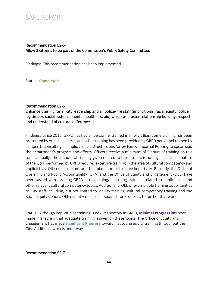#### Recommendation E2-5 Allow 3 citizens to be part of the Commission's Public Safety Committee.

Findings: This recommendation has been implemented.

Status: **Completed**

#### Recommendation E2-6

Enhance training for all city leadership and all police/fire staff (implicit bias, racial equity, police legitimacy, social systems, mental health first aid) which will foster relationship building, respect and understand of cultural difference.

Findings: Since 2016, GRPD has had all personnel trained in Implicit Bias. Some training has been presented by outside experts, and other training has been provided by GRPD personnel trained by Lamberth Consulting as Implicit Bias instructors and/or by Fair & Impartial Policing to spearhead the department's program and efforts. Officers receive a minimum of 3 hours of training on this topic annually. The amount of training given related to these topics is not significant. The nature of the work performed by GRPD requires extensive training in the area of cultural competency and implicit bias. Officers must confront their bias in order to serve impartially. Recently, the Office of Oversight and Public Accountability (OPA) and the Office of Equity and Engagement (OEE) have been tasked with assisting GRPD in developing/instituting trainings related to implicit bias and other relevant cultural competency topics. Additionally, OEE offers multiple training opportunities to City staff including, but not limited to, equity training, cultural competency training and the Racial Equity Cohort. OEE recently released a Request for Proposals to further that work.

Status: Although implicit bias training is now mandatory in GRPD, **Minimal Progress** has been made in ensuring that adequate training is given on these topics. The Office of Equity and Engagement has made **Significant Progress** toward instituting equity training throughout the City. Additional work is underway.

#### Recommendation E2-7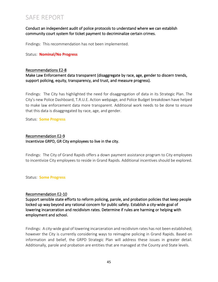#### Conduct an independent audit of police protocols to understand where we can establish community court system for ticket payment to decriminalize certain crimes.

Findings: This recommendation has not been implemented.

Status: **Nominal/No Progress**

#### Recommendations E2-8

Make Law Enforcement data transparent (disaggregate by race, age, gender to discern trends, support policing, equity, transparency, and trust, and measure progress).

Findings: The City has highlighted the need for disaggregation of data in its Strategic Plan. The City's new Police Dashboard, T.R.U.E. Action webpage, and Police Budget breakdown have helped to make law enforcement data more transparent. Additional work needs to be done to ensure that this data is disaggregated by race, age, and gender.

Status: **Some Progress**

#### Recommendation E2-9 Incentivize GRPD, GR City employees to live in the city.

Findings: The City of Grand Rapids offers a down payment assistance program to City employees to incentivize City employees to reside in Grand Rapids. Additional incentives should be explored.

Status: **Some Progress**

#### Recommendation E2-10

Support sensible state efforts to reform policing, parole, and probation policies that keep people locked up way beyond any rational concern for public safety. Establish a city-wide goal of lowering incarceration and recidivism rates. Determine if rules are harming or helping with employment and school.

Findings: A city-wide goal of lowering incarceration and recidivism rates has not been established; however the City is currently considering ways to reimagine policing in Grand Rapids. Based on information and belief, the GRPD Strategic Plan will address these issues in greater detail. Additionally, parole and probation are entities that are managed at the County and State levels.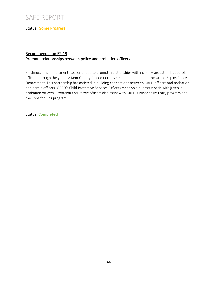Status: **Some Progress**

#### Recommendation E2-13 Promote relationships between police and probation officers.

Findings: The department has continued to promote relationships with not only probation but parole officers through the years. A Kent County Prosecutor has been embedded into the Grand Rapids Police Department. This partnership has assisted in building connections between GRPD officers and probation and parole officers. GRPD's Child Protective Services Officers meet on a quarterly basis with juvenile probation officers. Probation and Parole officers also assist with GRPD's Prisoner Re-Entry program and the Cops for Kids program.

Status: **Completed**